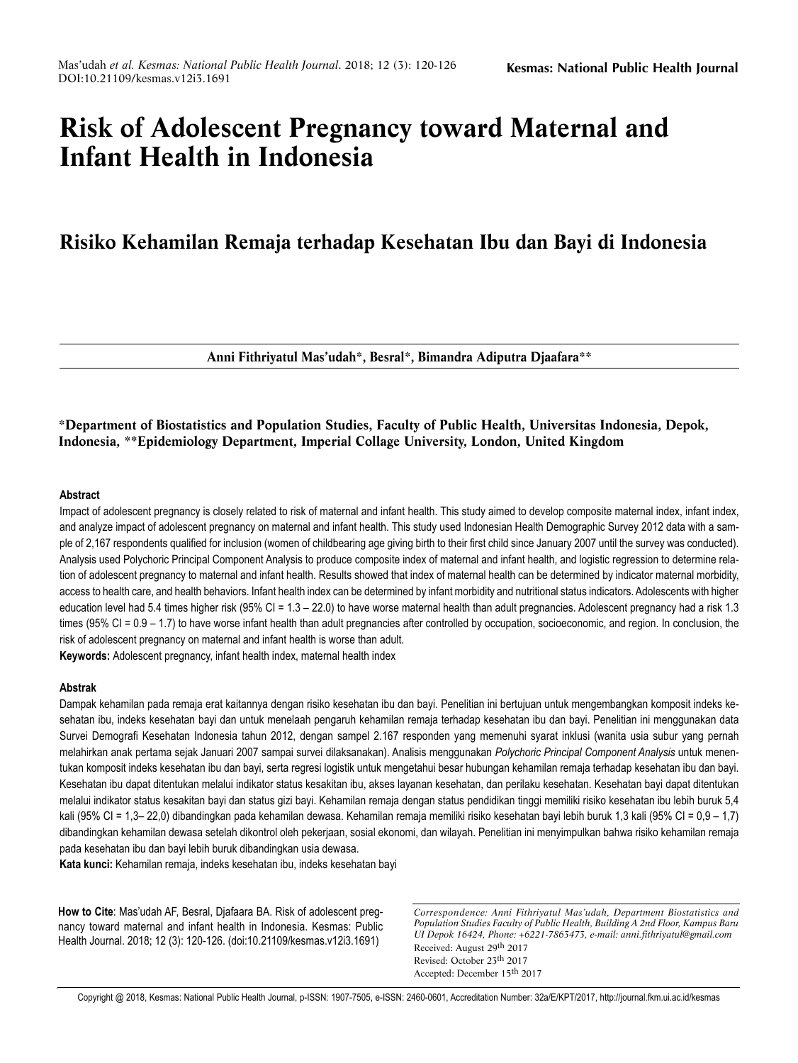# **Risk of Adolescent Pregnancy toward Maternal and Infant Health in Indonesia**

# **Risiko Kehamilan Remaja terhadap Kesehatan Ibu dan Bayi di Indonesia**

**Anni Fithriyatul Mas'udah\*, Besral\*, Bimandra Adiputra Djaafara\*\*** 

## **\*Department of Biostatistics and Population Studies, Faculty of Public Health, Universitas Indonesia, Depok, Indonesia, \*\*Epidemiology Department, Imperial Collage University, London, United Kingdom**

#### **Abstract**

Impact of adolescent pregnancy is closely related to risk of maternal and infant health. This study aimed to develop composite maternal index, infant index, and analyze impact of adolescent pregnancy on maternal and infant health. This study used Indonesian Health Demographic Survey 2012 data with a sample of 2,167 respondents qualified for inclusion (women of childbearing age giving birth to their first child since January 2007 until the survey was conducted). Analysis used Polychoric Principal Component Analysis to produce composite index of maternal and infant health, and logistic regression to determine relation of adolescent pregnancy to maternal and infant health. Results showed that index of maternal health can be determined by indicator maternal morbidity, access to health care, and health behaviors. Infant health index can be determined by infant morbidity and nutritional status indicators. Adolescents with higher education level had 5.4 times higher risk (95% CI = 1.3 – 22.0) to have worse maternal health than adult pregnancies. Adolescent pregnancy had a risk 1.3 times (95% CI = 0.9 – 1.7) to have worse infant health than adult pregnancies after controlled by occupation, socioeconomic, and region. In conclusion, the risk of adolescent pregnancy on maternal and infant health is worse than adult.

**Keywords:** Adolescent pregnancy, infant health index, maternal health index

#### **Abstrak**

Dampak kehamilan pada remaja erat kaitannya dengan risiko kesehatan ibu dan bayi. Penelitian ini bertujuan untuk mengembangkan komposit indeks kesehatan ibu, indeks kesehatan bayi dan untuk menelaah pengaruh kehamilan remaja terhadap kesehatan ibu dan bayi. Penelitian ini menggunakan data Survei Demografi Kesehatan Indonesia tahun 2012, dengan sampel 2.167 responden yang memenuhi syarat inklusi (wanita usia subur yang pernah melahirkan anak pertama sejak Januari 2007 sampai survei dilaksanakan). Analisis menggunakan *Polychoric Principal Component Analysis* untuk menentukan komposit indeks kesehatan ibu dan bayi, serta regresi logistik untuk mengetahui besar hubungan kehamilan remaja terhadap kesehatan ibu dan bayi. Kesehatan ibu dapat ditentukan melalui indikator status kesakitan ibu, akses layanan kesehatan, dan perilaku kesehatan. Kesehatan bayi dapat ditentukan melalui indikator status kesakitan bayi dan status gizi bayi. Kehamilan remaja dengan status pendidikan tinggi memiliki risiko kesehatan ibu lebih buruk 5,4 kali (95% CI = 1,3– 22,0) dibandingkan pada kehamilan dewasa. Kehamilan remaja memiliki risiko kesehatan bayi lebih buruk 1,3 kali (95% CI = 0,9 – 1,7) dibandingkan kehamilan dewasa setelah dikontrol oleh pekerjaan, sosial ekonomi, dan wilayah. Penelitian ini menyimpulkan bahwa risiko kehamilan remaja pada kesehatan ibu dan bayi lebih buruk dibandingkan usia dewasa.

**Kata kunci:** Kehamilan remaja, indeks kesehatan ibu, indeks kesehatan bayi

**How to Cite**: Mas'udah AF, Besral, Djafaara BA. Risk of adolescent pregnancy toward maternal and infant health in Indonesia. Kesmas: Public Health Journal. 2018; 12 (3): 120-126. (doi:10.21109/kesmas.v12i3.1691)

*Correspondence: Anni Fithriyatul Mas'udah, Department Biostatistics and Population Studies Faculty of Public Health, Building A 2nd Floor, Kampus Baru UI Depok 16424, Phone: +6221-7863473, e-mail: anni.fithriyatul@gmail.com* Received: August 29th 2017 Revised: October 23th 2017 Accepted: December 15th 2017

Copyright @ 2018, Kesmas: National Public Health Journal, p-ISSN: 1907-7505, e-ISSN: 2460-0601, Accreditation Number: 32a/E/KPT/2017, http://journal.fkm.ui.ac.id/kesmas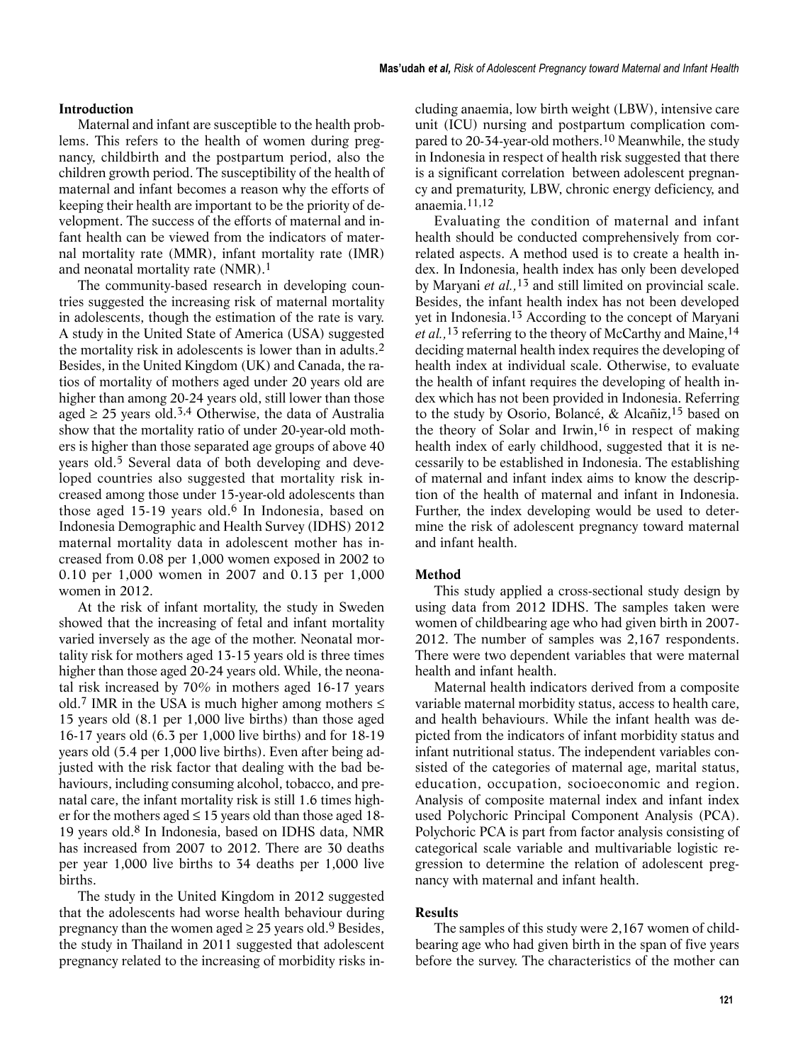#### **Introduction**

Maternal and infant are susceptible to the health problems. This refers to the health of women during pregnancy, childbirth and the postpartum period, also the children growth period. The susceptibility of the health of maternal and infant becomes a reason why the efforts of keeping their health are important to be the priority of development. The success of the efforts of maternal and infant health can be viewed from the indicators of maternal mortality rate (MMR), infant mortality rate (IMR) and neonatal mortality rate (NMR).1

The community-based research in developing countries suggested the increasing risk of maternal mortality in adolescents, though the estimation of the rate is vary. A study in the United State of America (USA) suggested the mortality risk in adolescents is lower than in adults.2 Besides, in the United Kingdom (UK) and Canada, the ratios of mortality of mothers aged under 20 years old are higher than among 20-24 years old, still lower than those aged  $\geq$  25 years old.<sup>3,4</sup> Otherwise, the data of Australia show that the mortality ratio of under 20-year-old mothers is higher than those separated age groups of above 40 years old.5 Several data of both developing and developed countries also suggested that mortality risk increased among those under 15-year-old adolescents than those aged 15-19 years old.<sup>6</sup> In Indonesia, based on Indonesia Demographic and Health Survey (IDHS) 2012 maternal mortality data in adolescent mother has increased from 0.08 per 1,000 women exposed in 2002 to 0.10 per 1,000 women in 2007 and 0.13 per 1,000 women in 2012.

At the risk of infant mortality, the study in Sweden showed that the increasing of fetal and infant mortality varied inversely as the age of the mother. Neonatal mortality risk for mothers aged 13-15 years old is three times higher than those aged 20-24 years old. While, the neonatal risk increased by 70% in mothers aged 16-17 years old.<sup>7</sup> IMR in the USA is much higher among mothers  $\leq$ 15 years old (8.1 per 1,000 live births) than those aged 16-17 years old (6.3 per 1,000 live births) and for 18-19 years old (5.4 per 1,000 live births). Even after being adjusted with the risk factor that dealing with the bad behaviours, including consuming alcohol, tobacco, and prenatal care, the infant mortality risk is still 1.6 times higher for the mothers aged  $\leq 15$  years old than those aged 18-19 years old.8 In Indonesia, based on IDHS data, NMR has increased from 2007 to 2012. There are 30 deaths per year 1,000 live births to 34 deaths per 1,000 live births.

The study in the United Kingdom in 2012 suggested that the adolescents had worse health behaviour during pregnancy than the women aged  $\geq$  25 years old.<sup>9</sup> Besides, the study in Thailand in 2011 suggested that adolescent pregnancy related to the increasing of morbidity risks including anaemia, low birth weight (LBW), intensive care unit (ICU) nursing and postpartum complication compared to 20-34-year-old mothers.10 Meanwhile, the study in Indonesia in respect of health risk suggested that there is a significant correlation between adolescent pregnancy and prematurity, LBW, chronic energy deficiency, and anaemia.11,12

Evaluating the condition of maternal and infant health should be conducted comprehensively from correlated aspects. A method used is to create a health index. In Indonesia, health index has only been developed by Maryani *et al.,*13 and still limited on provincial scale. Besides, the infant health index has not been developed yet in Indonesia.13 According to the concept of Maryani *et al.,*13 referring to the theory of McCarthy and Maine,14 deciding maternal health index requires the developing of health index at individual scale. Otherwise, to evaluate the health of infant requires the developing of health index which has not been provided in Indonesia. Referring to the study by Osorio, Bolancé, & Alcañiz,15 based on the theory of Solar and Irwin,16 in respect of making health index of early childhood, suggested that it is necessarily to be established in Indonesia. The establishing of maternal and infant index aims to know the description of the health of maternal and infant in Indonesia. Further, the index developing would be used to determine the risk of adolescent pregnancy toward maternal and infant health.

#### **Method**

This study applied a cross-sectional study design by using data from 2012 IDHS. The samples taken were women of childbearing age who had given birth in 2007- 2012. The number of samples was 2,167 respondents. There were two dependent variables that were maternal health and infant health.

Maternal health indicators derived from a composite variable maternal morbidity status, access to health care, and health behaviours. While the infant health was depicted from the indicators of infant morbidity status and infant nutritional status. The independent variables consisted of the categories of maternal age, marital status, education, occupation, socioeconomic and region. Analysis of composite maternal index and infant index used Polychoric Principal Component Analysis (PCA). Polychoric PCA is part from factor analysis consisting of categorical scale variable and multivariable logistic regression to determine the relation of adolescent pregnancy with maternal and infant health.

#### **Results**

The samples of this study were 2,167 women of childbearing age who had given birth in the span of five years before the survey. The characteristics of the mother can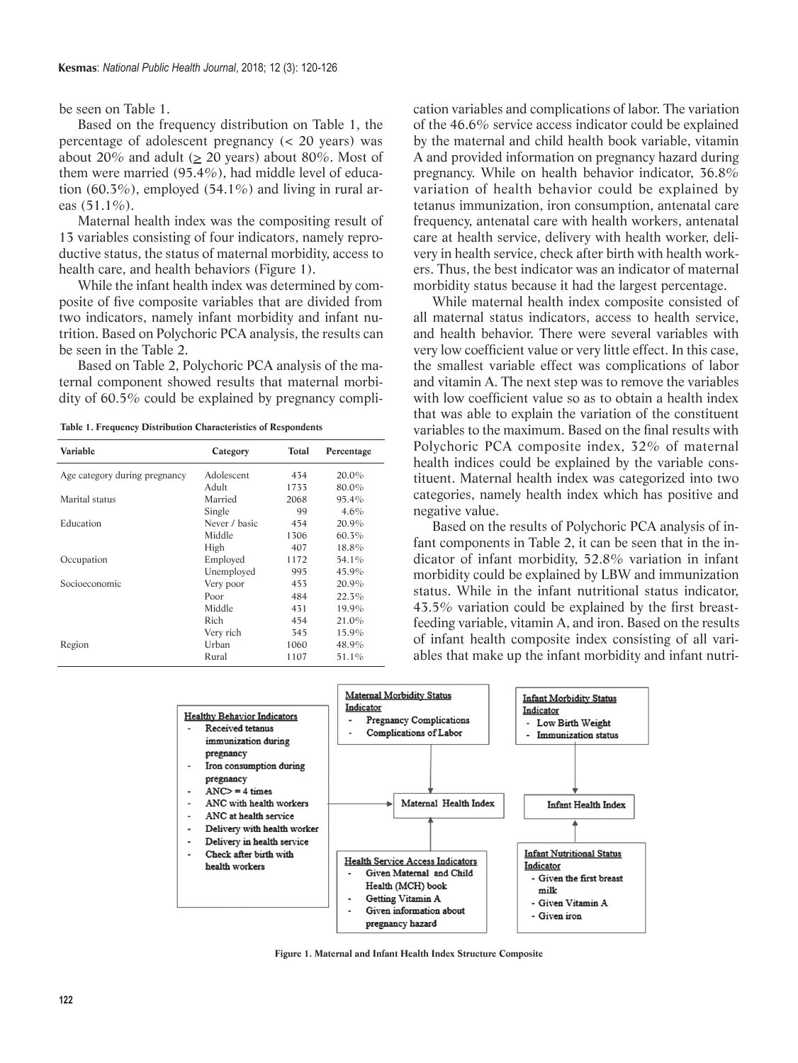be seen on Table 1.

Based on the frequency distribution on Table 1, the percentage of adolescent pregnancy (< 20 years) was about 20% and adult ( $\geq$  20 years) about 80%. Most of them were married (95.4%), had middle level of education  $(60.3\%)$ , employed  $(54.1\%)$  and living in rural areas (51.1%).

Maternal health index was the compositing result of 13 variables consisting of four indicators, namely reproductive status, the status of maternal morbidity, access to health care, and health behaviors (Figure 1).

While the infant health index was determined by composite of five composite variables that are divided from two indicators, namely infant morbidity and infant nutrition. Based on Polychoric PCA analysis, the results can be seen in the Table 2.

Based on Table 2, Polychoric PCA analysis of the maternal component showed results that maternal morbidity of 60.5% could be explained by pregnancy compli-

**Table 1. Frequency Distribution Characteristics of Respondents**

| Variable                      | Category      | Total | Percentage |  |  |
|-------------------------------|---------------|-------|------------|--|--|
| Age category during pregnancy | Adolescent    | 434   | 20.0%      |  |  |
|                               | Adult         | 1733  | 80.0%      |  |  |
| Marital status                | Married       | 2068  | 95.4%      |  |  |
|                               | Single        | 99    | $4.6\%$    |  |  |
| Education                     | Never / basic | 454   | 20.9%      |  |  |
|                               | Middle        | 1306  | 60.3%      |  |  |
|                               | High          | 407   | 18.8%      |  |  |
| Occupation                    | Employed      | 1172  | 54.1%      |  |  |
|                               | Unemployed    | 995   | 45.9%      |  |  |
| Socioeconomic                 | Very poor     | 453   | 20.9%      |  |  |
|                               | Poor          | 484   | 22.3%      |  |  |
|                               | Middle        | 431   | 19.9%      |  |  |
|                               | Rich          | 454   | 21.0%      |  |  |
|                               | Very rich     | 345   | 15.9%      |  |  |
| Region                        | Urban         | 1060  | 48.9%      |  |  |
|                               | Rural         | 1107  | 51.1%      |  |  |
|                               |               |       |            |  |  |

cation variables and complications of labor. The variation of the 46.6% service access indicator could be explained by the maternal and child health book variable, vitamin A and provided information on pregnancy hazard during pregnancy. While on health behavior indicator, 36.8% variation of health behavior could be explained by tetanus immunization, iron consumption, antenatal care frequency, antenatal care with health workers, antenatal care at health service, delivery with health worker, delivery in health service, check after birth with health workers. Thus, the best indicator was an indicator of maternal morbidity status because it had the largest percentage.

While maternal health index composite consisted of all maternal status indicators, access to health service, and health behavior. There were several variables with very low coefficient value or very little effect. In this case, the smallest variable effect was complications of labor and vitamin A. The next step was to remove the variables with low coefficient value so as to obtain a health index that was able to explain the variation of the constituent variables to the maximum. Based on the final results with Polychoric PCA composite index, 32% of maternal health indices could be explained by the variable constituent. Maternal health index was categorized into two categories, namely health index which has positive and negative value.

Based on the results of Polychoric PCA analysis of infant components in Table 2, it can be seen that in the indicator of infant morbidity, 52.8% variation in infant morbidity could be explained by LBW and immunization status. While in the infant nutritional status indicator, 43.5% variation could be explained by the first breastfeeding variable, vitamin A, and iron. Based on the results of infant health composite index consisting of all variables that make up the infant morbidity and infant nutri-



**Figure 1. Maternal and Infant Health Index Structure Composite**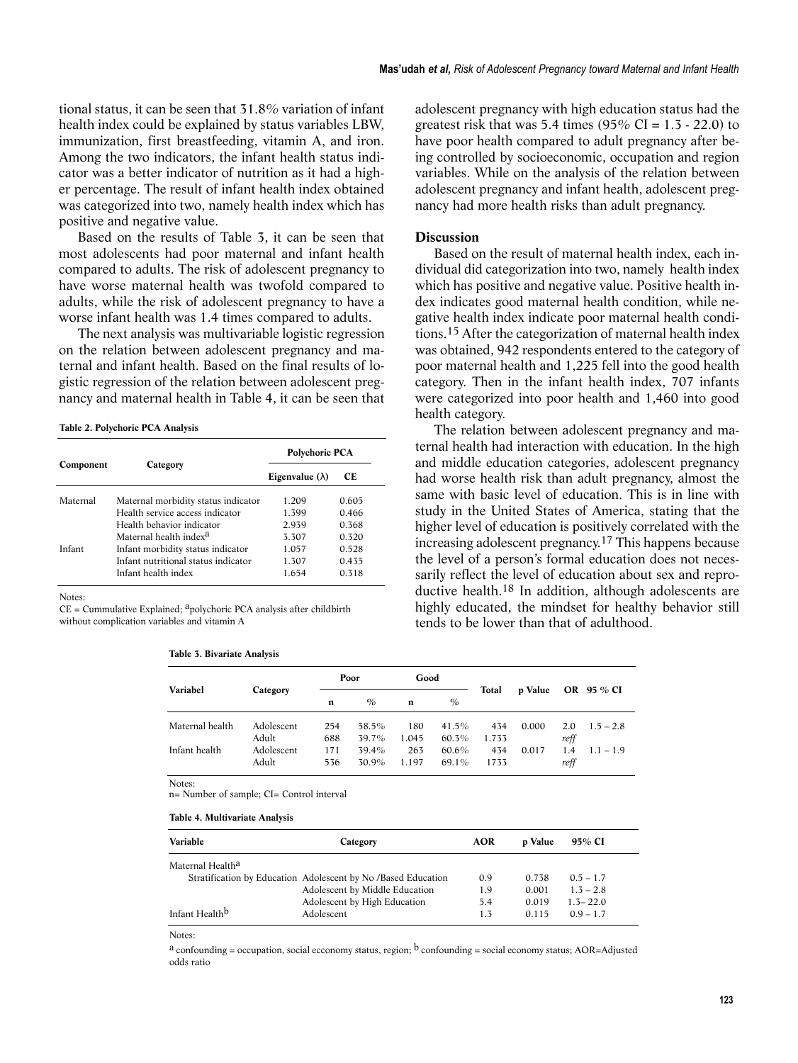tional status, it can be seen that 31.8% variation of infant health index could be explained by status variables LBW, immunization, first breastfeeding, vitamin A, and iron. Among the two indicators, the infant health status indicator was a better indicator of nutrition as it had a higher percentage. The result of infant health index obtained was categorized into two, namely health index which has positive and negative value.

Based on the results of Table 3, it can be seen that most adolescents had poor maternal and infant health compared to adults. The risk of adolescent pregnancy to have worse maternal health was twofold compared to adults, while the risk of adolescent pregnancy to have a worse infant health was 1.4 times compared to adults.

The next analysis was multivariable logistic regression on the relation between adolescent pregnancy and maternal and infant health. Based on the final results of logistic regression of the relation between adolescent pregnancy and maternal health in Table 4, it can be seen that

**Table 2. Polychoric PCA Analysis** 

|           |                                     | Polychoric PCA         |       |  |  |
|-----------|-------------------------------------|------------------------|-------|--|--|
| Component | Category                            | Eigenvalue $(\lambda)$ | CЕ    |  |  |
| Maternal  | Maternal morbidity status indicator | 1.209                  | 0.605 |  |  |
|           | Health service access indicator     | 1.399                  | 0.466 |  |  |
|           | Health behavior indicator           | 2.939                  | 0.368 |  |  |
|           | Maternal health index <sup>a</sup>  | 3.307                  | 0.320 |  |  |
| Infant    | Infant morbidity status indicator   | 1.057                  | 0.528 |  |  |
|           | Infant nutritional status indicator | 1.307                  | 0.435 |  |  |
|           | Infant health index                 | 1.654                  | 0.318 |  |  |

Notes:

 $CE = Cummutative$  Explained; <sup>a</sup>polychoric PCA analysis after childbirth without complication variables and vitamin A

|  |  | Table 3. Bivariate Analysis |  |
|--|--|-----------------------------|--|
|--|--|-----------------------------|--|

adolescent pregnancy with high education status had the greatest risk that was 5.4 times  $(95\% \text{ CI} = 1.3 - 22.0)$  to have poor health compared to adult pregnancy after being controlled by socioeconomic, occupation and region variables. While on the analysis of the relation between adolescent pregnancy and infant health, adolescent pregnancy had more health risks than adult pregnancy.

#### **Discussion**

Based on the result of maternal health index, each individual did categorization into two, namely health index which has positive and negative value. Positive health index indicates good maternal health condition, while negative health index indicate poor maternal health conditions.15 After the categorization of maternal health index was obtained, 942 respondents entered to the category of poor maternal health and 1,225 fell into the good health category. Then in the infant health index, 707 infants were categorized into poor health and 1,460 into good health category.

The relation between adolescent pregnancy and maternal health had interaction with education. In the high and middle education categories, adolescent pregnancy had worse health risk than adult pregnancy, almost the same with basic level of education. This is in line with study in the United States of America, stating that the higher level of education is positively correlated with the increasing adolescent pregnancy.17 This happens because the level of a person's formal education does not necessarily reflect the level of education about sex and reproductive health.18 In addition, although adolescents are highly educated, the mindset for healthy behavior still tends to be lower than that of adulthood.

| Variabel<br>Category |                     |            | Poor           | Good          |                |              |       |                   |             |  |  |
|----------------------|---------------------|------------|----------------|---------------|----------------|--------------|-------|-------------------|-------------|--|--|
|                      | n                   | $\%$       | n              | $\frac{O}{O}$ | Total          | p Value      |       | <b>OR</b> 95 % CI |             |  |  |
| Maternal health      | Adolescent<br>Adult | 254<br>688 | 58.5%<br>39.7% | 180<br>1.045  | 41.5%<br>60.3% | 434<br>1.733 | 0.000 | 2.0<br>reff       | $1.5 - 2.8$ |  |  |
| Infant health        | Adolescent<br>Adult | 171<br>536 | 39.4%<br>30.9% | 263<br>1.197  | 60.6%<br>69.1% | 434<br>1733  | 0.017 | 1.4<br>reff       | $1.1 - 1.9$ |  |  |

Notes:

n= Number of sample; CI= Control interval

#### **Table 4. Multivariate Analysis**

| Variable                     | Category                                                      | <b>AOR</b> | <b>p</b> Value | 95% CI       |  |
|------------------------------|---------------------------------------------------------------|------------|----------------|--------------|--|
| Maternal Health <sup>a</sup> |                                                               |            |                |              |  |
|                              | Stratification by Education Adolescent by No /Based Education | 0.9        | 0.738          | $0.5 - 1.7$  |  |
|                              | Adolescent by Middle Education                                | 1.9        | 0.001          | $1.3 - 2.8$  |  |
|                              | Adolescent by High Education                                  | 5.4        | 0.019          | $1.3 - 22.0$ |  |
| Infant Health <sup>b</sup>   | Adolescent                                                    | 1.3        | 0.115          | $0.9 - 1.7$  |  |

Notes:

 $a$  confounding = occupation, social ecconomy status, region;  $b$  confounding = social economy status; AOR=Adjusted odds ratio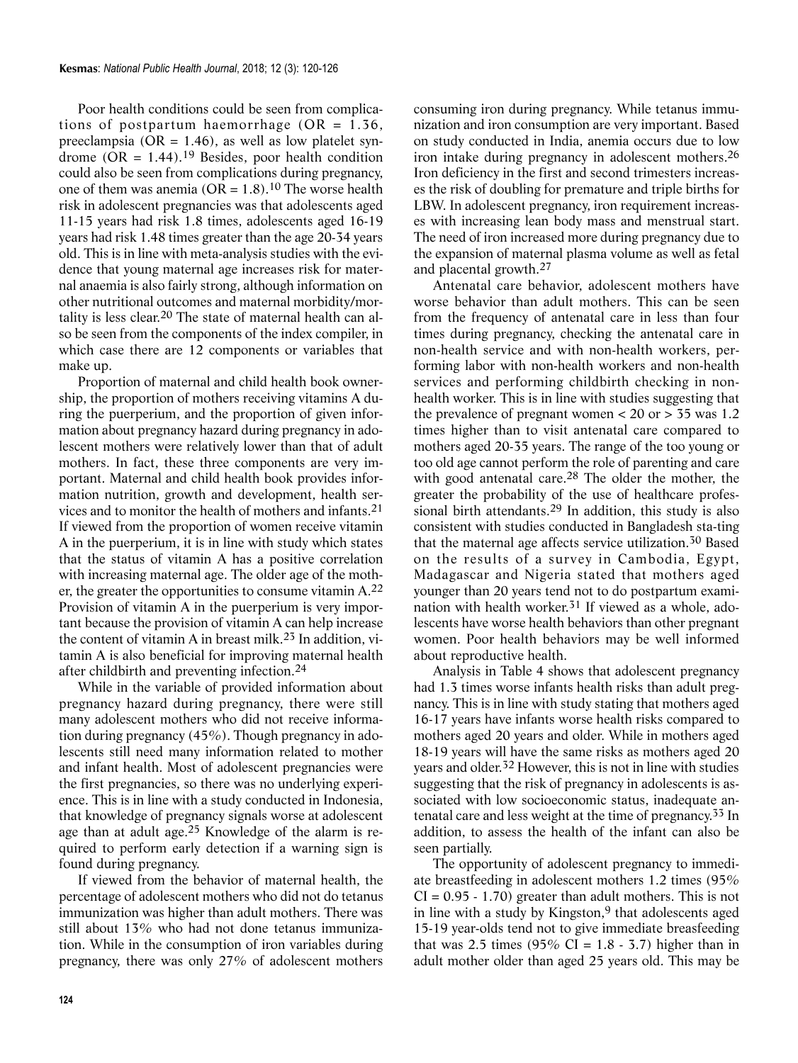Poor health conditions could be seen from complications of postpartum haemorrhage  $(OR = 1.36,$ preeclampsia ( $OR = 1.46$ ), as well as low platelet syndrome  $(OR = 1.44).<sup>19</sup>$  Besides, poor health condition could also be seen from complications during pregnancy, one of them was anemia ( $OR = 1.8$ ).<sup>10</sup> The worse health risk in adolescent pregnancies was that adolescents aged 11-15 years had risk 1.8 times, adolescents aged 16-19 years had risk 1.48 times greater than the age 20-34 years old. This is in line with meta-analysis studies with the evidence that young maternal age increases risk for maternal anaemia is also fairly strong, although information on other nutritional outcomes and maternal morbidity/mortality is less clear.20 The state of maternal health can also be seen from the components of the index compiler, in which case there are 12 components or variables that make up.

Proportion of maternal and child health book ownership, the proportion of mothers receiving vitamins A during the puerperium, and the proportion of given information about pregnancy hazard during pregnancy in adolescent mothers were relatively lower than that of adult mothers. In fact, these three components are very important. Maternal and child health book provides information nutrition, growth and development, health services and to monitor the health of mothers and infants.21 If viewed from the proportion of women receive vitamin A in the puerperium, it is in line with study which states that the status of vitamin A has a positive correlation with increasing maternal age. The older age of the mother, the greater the opportunities to consume vitamin A.22 Provision of vitamin A in the puerperium is very important because the provision of vitamin A can help increase the content of vitamin A in breast milk.23 In addition, vitamin A is also beneficial for improving maternal health after childbirth and preventing infection.24

While in the variable of provided information about pregnancy hazard during pregnancy, there were still many adolescent mothers who did not receive information during pregnancy (45%). Though pregnancy in adolescents still need many information related to mother and infant health. Most of adolescent pregnancies were the first pregnancies, so there was no underlying experience. This is in line with a study conducted in Indonesia, that knowledge of pregnancy signals worse at adolescent age than at adult age.25 Knowledge of the alarm is required to perform early detection if a warning sign is found during pregnancy.

If viewed from the behavior of maternal health, the percentage of adolescent mothers who did not do tetanus immunization was higher than adult mothers. There was still about 13% who had not done tetanus immunization. While in the consumption of iron variables during pregnancy, there was only 27% of adolescent mothers consuming iron during pregnancy. While tetanus immunization and iron consumption are very important. Based on study conducted in India, anemia occurs due to low iron intake during pregnancy in adolescent mothers.26 Iron deficiency in the first and second trimesters increases the risk of doubling for premature and triple births for LBW. In adolescent pregnancy, iron requirement increases with increasing lean body mass and menstrual start. The need of iron increased more during pregnancy due to the expansion of maternal plasma volume as well as fetal and placental growth.27

Antenatal care behavior, adolescent mothers have worse behavior than adult mothers. This can be seen from the frequency of antenatal care in less than four times during pregnancy, checking the antenatal care in non-health service and with non-health workers, performing labor with non-health workers and non-health services and performing childbirth checking in nonhealth worker. This is in line with studies suggesting that the prevalence of pregnant women  $< 20$  or  $> 55$  was 1.2 times higher than to visit antenatal care compared to mothers aged 20-35 years. The range of the too young or too old age cannot perform the role of parenting and care with good antenatal care.<sup>28</sup> The older the mother, the greater the probability of the use of healthcare professional birth attendants.29 In addition, this study is also consistent with studies conducted in Bangladesh sta-ting that the maternal age affects service utilization.30 Based on the results of a survey in Cambodia, Egypt, Madagascar and Nigeria stated that mothers aged younger than 20 years tend not to do postpartum examination with health worker.<sup>31</sup> If viewed as a whole, adolescents have worse health behaviors than other pregnant women. Poor health behaviors may be well informed about reproductive health.

Analysis in Table 4 shows that adolescent pregnancy had 1.3 times worse infants health risks than adult pregnancy. This is in line with study stating that mothers aged 16-17 years have infants worse health risks compared to mothers aged 20 years and older. While in mothers aged 18-19 years will have the same risks as mothers aged 20 years and older.<sup>32</sup> However, this is not in line with studies suggesting that the risk of pregnancy in adolescents is associated with low socioeconomic status, inadequate antenatal care and less weight at the time of pregnancy.33 In addition, to assess the health of the infant can also be seen partially.

The opportunity of adolescent pregnancy to immediate breastfeeding in adolescent mothers 1.2 times (95%  $CI = 0.95 - 1.70$ ) greater than adult mothers. This is not in line with a study by Kingston, $9$  that adolescents aged 15-19 year-olds tend not to give immediate breasfeeding that was 2.5 times  $(95\% \text{ CI} = 1.8 - 3.7)$  higher than in adult mother older than aged 25 years old. This may be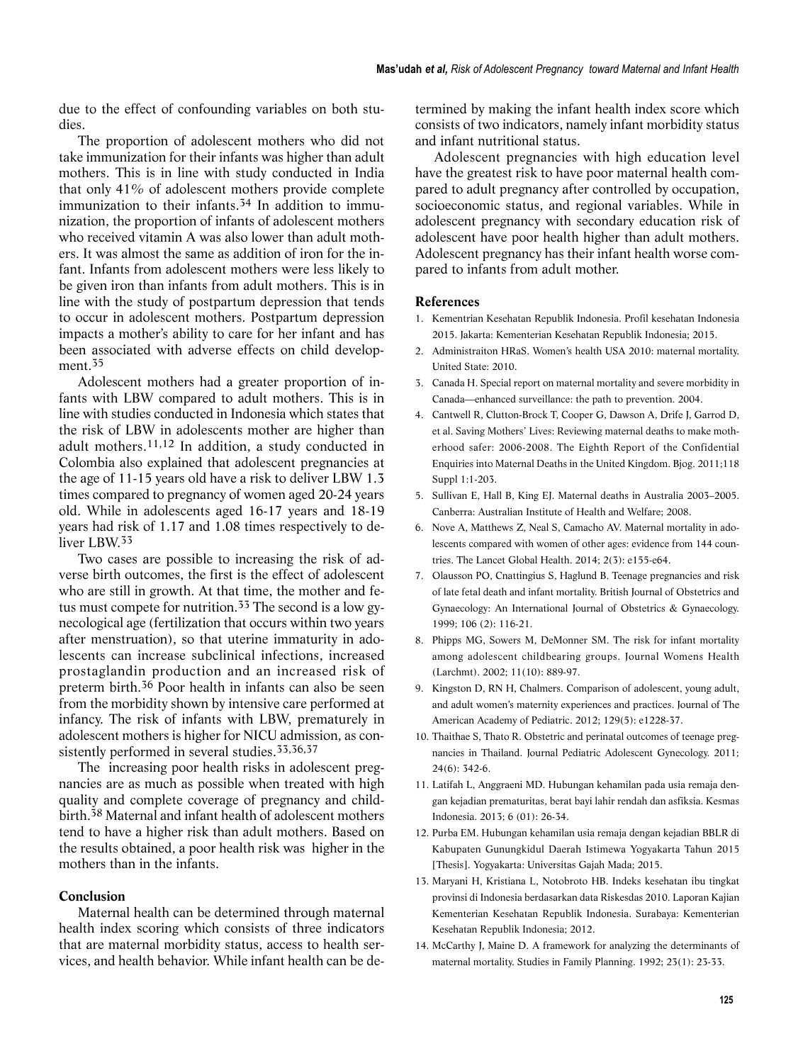due to the effect of confounding variables on both studies.

The proportion of adolescent mothers who did not take immunization for their infants was higher than adult mothers. This is in line with study conducted in India that only 41% of adolescent mothers provide complete immunization to their infants.<sup>34</sup> In addition to immunization, the proportion of infants of adolescent mothers who received vitamin A was also lower than adult mothers. It was almost the same as addition of iron for the infant. Infants from adolescent mothers were less likely to be given iron than infants from adult mothers. This is in line with the study of postpartum depression that tends to occur in adolescent mothers. Postpartum depression impacts a mother's ability to care for her infant and has been associated with adverse effects on child development.<sup>35</sup>

Adolescent mothers had a greater proportion of infants with LBW compared to adult mothers. This is in line with studies conducted in Indonesia which states that the risk of LBW in adolescents mother are higher than adult mothers.11,12 In addition, a study conducted in Colombia also explained that adolescent pregnancies at the age of 11-15 years old have a risk to deliver LBW 1.3 times compared to pregnancy of women aged 20-24 years old. While in adolescents aged 16-17 years and 18-19 years had risk of 1.17 and 1.08 times respectively to deliver LBW.33

Two cases are possible to increasing the risk of adverse birth outcomes, the first is the effect of adolescent who are still in growth. At that time, the mother and fetus must compete for nutrition.33 The second is a low gynecological age (fertilization that occurs within two years after menstruation), so that uterine immaturity in adolescents can increase subclinical infections, increased prostaglandin production and an increased risk of preterm birth.36 Poor health in infants can also be seen from the morbidity shown by intensive care performed at infancy. The risk of infants with LBW, prematurely in adolescent mothers is higher for NICU admission, as consistently performed in several studies.33,36,37

The increasing poor health risks in adolescent pregnancies are as much as possible when treated with high quality and complete coverage of pregnancy and childbirth.38 Maternal and infant health of adolescent mothers tend to have a higher risk than adult mothers. Based on the results obtained, a poor health risk was higher in the mothers than in the infants.

### **Conclusion**

Maternal health can be determined through maternal health index scoring which consists of three indicators that are maternal morbidity status, access to health services, and health behavior. While infant health can be determined by making the infant health index score which consists of two indicators, namely infant morbidity status and infant nutritional status.

Adolescent pregnancies with high education level have the greatest risk to have poor maternal health compared to adult pregnancy after controlled by occupation, socioeconomic status, and regional variables. While in adolescent pregnancy with secondary education risk of adolescent have poor health higher than adult mothers. Adolescent pregnancy has their infant health worse compared to infants from adult mother.

#### **References**

- 1. Kementrian Kesehatan Republik Indonesia. Profil kesehatan Indonesia 2015. Jakarta: Kementerian Kesehatan Republik Indonesia; 2015.
- 2. Administraiton HRaS. Women's health USA 2010: maternal mortality. United State: 2010.
- 3. Canada H. Special report on maternal mortality and severe morbidity in Canada—enhanced surveillance: the path to prevention. 2004.
- 4. Cantwell R, Clutton-Brock T, Cooper G, Dawson A, Drife J, Garrod D, et al. Saving Mothers' Lives: Reviewing maternal deaths to make motherhood safer: 2006-2008. The Eighth Report of the Confidential Enquiries into Maternal Deaths in the United Kingdom. Bjog. 2011;118 Suppl 1:1-203.
- 5. Sullivan E, Hall B, King EJ. Maternal deaths in Australia 2003–2005. Canberra: Australian Institute of Health and Welfare; 2008.
- 6. Nove A, Matthews Z, Neal S, Camacho AV. Maternal mortality in adolescents compared with women of other ages: evidence from 144 countries. The Lancet Global Health. 2014; 2(3): e155-e64.
- 7. Olausson PO, Cnattingius S, Haglund B. Teenage pregnancies and risk of late fetal death and infant mortality. British Journal of Obstetrics and Gynaecology: An International Journal of Obstetrics & Gynaecology. 1999; 106 (2): 116-21.
- 8. Phipps MG, Sowers M, DeMonner SM. The risk for infant mortality among adolescent childbearing groups. Journal Womens Health (Larchmt). 2002; 11(10): 889-97.
- 9. Kingston D, RN H, Chalmers. Comparison of adolescent, young adult, and adult women's maternity experiences and practices. Journal of The American Academy of Pediatric. 2012; 129(5): e1228-37.
- 10. Thaithae S, Thato R. Obstetric and perinatal outcomes of teenage pregnancies in Thailand. Journal Pediatric Adolescent Gynecology. 2011; 24(6): 342-6.
- 11. Latifah L, Anggraeni MD. Hubungan kehamilan pada usia remaja dengan kejadian prematuritas, berat bayi lahir rendah dan asfiksia. Kesmas Indonesia. 2013; 6 (01): 26-34.
- 12. Purba EM. Hubungan kehamilan usia remaja dengan kejadian BBLR di Kabupaten Gunungkidul Daerah Istimewa Yogyakarta Tahun 2015 [Thesis]. Yogyakarta: Universitas Gajah Mada; 2015.
- 13. Maryani H, Kristiana L, Notobroto HB. Indeks kesehatan ibu tingkat provinsi di Indonesia berdasarkan data Riskesdas 2010. Laporan Kajian Kementerian Kesehatan Republik Indonesia. Surabaya: Kementerian Kesehatan Republik Indonesia; 2012.
- 14. McCarthy J, Maine D. A framework for analyzing the determinants of maternal mortality. Studies in Family Planning. 1992; 23(1): 23-33.